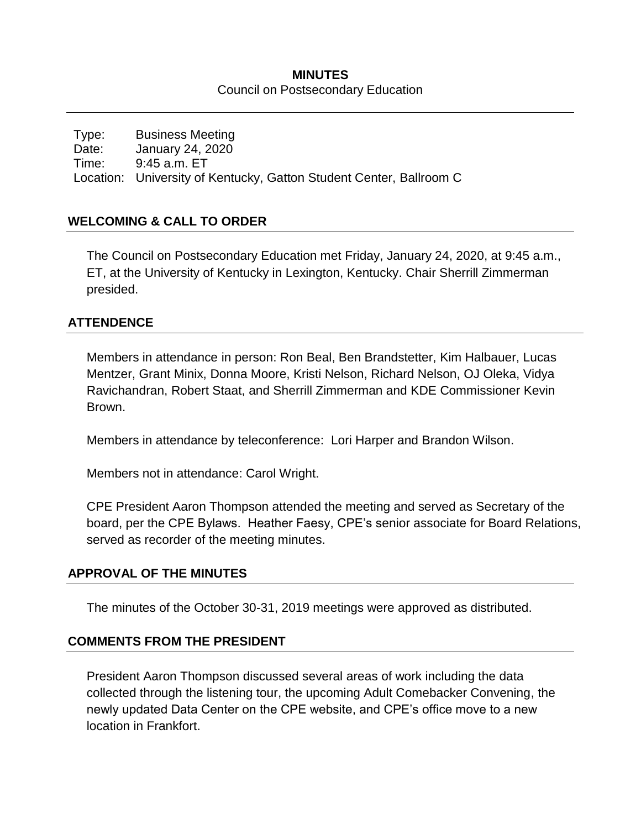### **MINUTES** Council on Postsecondary Education

Type: Business Meeting Date: January 24, 2020 Time: 9:45 a.m. ET Location: University of Kentucky, Gatton Student Center, Ballroom C

### **WELCOMING & CALL TO ORDER**

The Council on Postsecondary Education met Friday, January 24, 2020, at 9:45 a.m., ET, at the University of Kentucky in Lexington, Kentucky. Chair Sherrill Zimmerman presided.

### **ATTENDENCE**

Members in attendance in person: Ron Beal, Ben Brandstetter, Kim Halbauer, Lucas Mentzer, Grant Minix, Donna Moore, Kristi Nelson, Richard Nelson, OJ Oleka, Vidya Ravichandran, Robert Staat, and Sherrill Zimmerman and KDE Commissioner Kevin Brown.

Members in attendance by teleconference: Lori Harper and Brandon Wilson.

Members not in attendance: Carol Wright.

CPE President Aaron Thompson attended the meeting and served as Secretary of the board, per the CPE Bylaws. Heather Faesy, CPE's senior associate for Board Relations, served as recorder of the meeting minutes.

### **APPROVAL OF THE MINUTES**

The minutes of the October 30-31, 2019 meetings were approved as distributed.

### **COMMENTS FROM THE PRESIDENT**

President Aaron Thompson discussed several areas of work including the data collected through the listening tour, the upcoming Adult Comebacker Convening, the newly updated Data Center on the CPE website, and CPE's office move to a new location in Frankfort.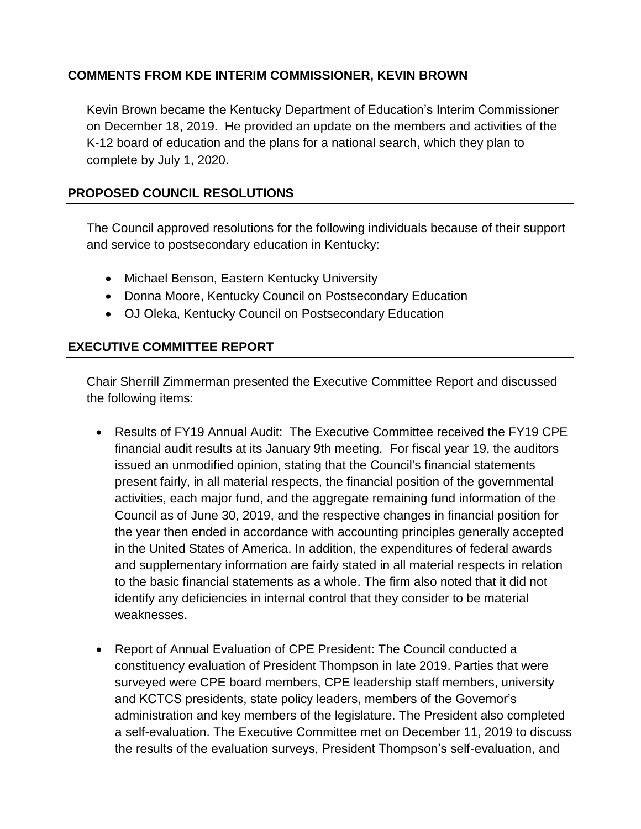## **COMMENTS FROM KDE INTERIM COMMISSIONER, KEVIN BROWN**

Kevin Brown became the Kentucky Department of Education's Interim Commissioner on December 18, 2019. He provided an update on the members and activities of the K-12 board of education and the plans for a national search, which they plan to complete by July 1, 2020.

## **PROPOSED COUNCIL RESOLUTIONS**

The Council approved resolutions for the following individuals because of their support and service to postsecondary education in Kentucky:

- Michael Benson, Eastern Kentucky University
- Donna Moore, Kentucky Council on Postsecondary Education
- OJ Oleka, Kentucky Council on Postsecondary Education

### **EXECUTIVE COMMITTEE REPORT**

Chair Sherrill Zimmerman presented the Executive Committee Report and discussed the following items:

- Results of FY19 Annual Audit: The Executive Committee received the FY19 CPE financial audit results at its January 9th meeting. For fiscal year 19, the auditors issued an unmodified opinion, stating that the Council's financial statements present fairly, in all material respects, the financial position of the governmental activities, each major fund, and the aggregate remaining fund information of the Council as of June 30, 2019, and the respective changes in financial position for the year then ended in accordance with accounting principles generally accepted in the United States of America. In addition, the expenditures of federal awards and supplementary information are fairly stated in all material respects in relation to the basic financial statements as a whole. The firm also noted that it did not identify any deficiencies in internal control that they consider to be material weaknesses.
- Report of Annual Evaluation of CPE President: The Council conducted a constituency evaluation of President Thompson in late 2019. Parties that were surveyed were CPE board members, CPE leadership staff members, university and KCTCS presidents, state policy leaders, members of the Governor's administration and key members of the legislature. The President also completed a self-evaluation. The Executive Committee met on December 11, 2019 to discuss the results of the evaluation surveys, President Thompson's self-evaluation, and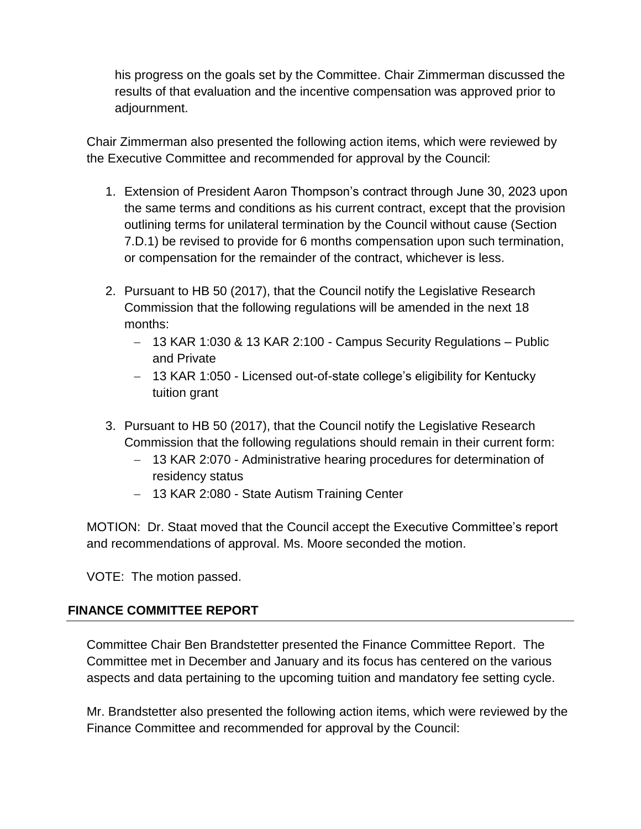his progress on the goals set by the Committee. Chair Zimmerman discussed the results of that evaluation and the incentive compensation was approved prior to adjournment.

Chair Zimmerman also presented the following action items, which were reviewed by the Executive Committee and recommended for approval by the Council:

- 1. Extension of President Aaron Thompson's contract through June 30, 2023 upon the same terms and conditions as his current contract, except that the provision outlining terms for unilateral termination by the Council without cause (Section 7.D.1) be revised to provide for 6 months compensation upon such termination, or compensation for the remainder of the contract, whichever is less.
- 2. Pursuant to HB 50 (2017), that the Council notify the Legislative Research Commission that the following regulations will be amended in the next 18 months:
	- 13 KAR 1:030 & 13 KAR 2:100 Campus Security Regulations Public and Private
	- 13 KAR 1:050 Licensed out-of-state college's eligibility for Kentucky tuition grant
- 3. Pursuant to HB 50 (2017), that the Council notify the Legislative Research Commission that the following regulations should remain in their current form:
	- 13 KAR 2:070 Administrative hearing procedures for determination of residency status
	- 13 KAR 2:080 State Autism Training Center

MOTION: Dr. Staat moved that the Council accept the Executive Committee's report and recommendations of approval. Ms. Moore seconded the motion.

VOTE: The motion passed.

# **FINANCE COMMITTEE REPORT**

Committee Chair Ben Brandstetter presented the Finance Committee Report. The Committee met in December and January and its focus has centered on the various aspects and data pertaining to the upcoming tuition and mandatory fee setting cycle.

Mr. Brandstetter also presented the following action items, which were reviewed by the Finance Committee and recommended for approval by the Council: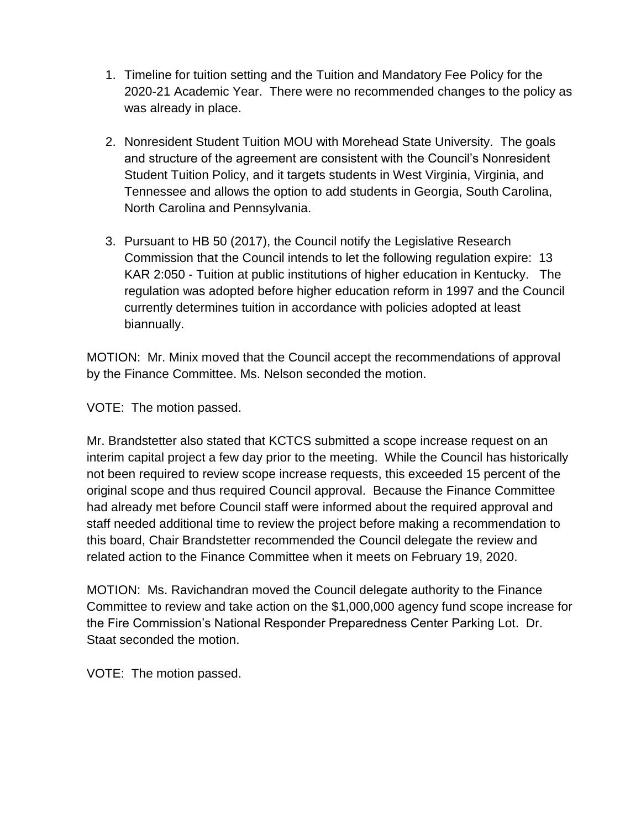- 1. Timeline for tuition setting and the Tuition and Mandatory Fee Policy for the 2020-21 Academic Year. There were no recommended changes to the policy as was already in place.
- 2. Nonresident Student Tuition MOU with Morehead State University. The goals and structure of the agreement are consistent with the Council's Nonresident Student Tuition Policy, and it targets students in West Virginia, Virginia, and Tennessee and allows the option to add students in Georgia, South Carolina, North Carolina and Pennsylvania.
- 3. Pursuant to HB 50 (2017), the Council notify the Legislative Research Commission that the Council intends to let the following regulation expire: 13 KAR 2:050 - Tuition at public institutions of higher education in Kentucky. The regulation was adopted before higher education reform in 1997 and the Council currently determines tuition in accordance with policies adopted at least biannually.

MOTION: Mr. Minix moved that the Council accept the recommendations of approval by the Finance Committee. Ms. Nelson seconded the motion.

VOTE: The motion passed.

Mr. Brandstetter also stated that KCTCS submitted a scope increase request on an interim capital project a few day prior to the meeting. While the Council has historically not been required to review scope increase requests, this exceeded 15 percent of the original scope and thus required Council approval. Because the Finance Committee had already met before Council staff were informed about the required approval and staff needed additional time to review the project before making a recommendation to this board, Chair Brandstetter recommended the Council delegate the review and related action to the Finance Committee when it meets on February 19, 2020.

MOTION: Ms. Ravichandran moved the Council delegate authority to the Finance Committee to review and take action on the \$1,000,000 agency fund scope increase for the Fire Commission's National Responder Preparedness Center Parking Lot. Dr. Staat seconded the motion.

VOTE: The motion passed.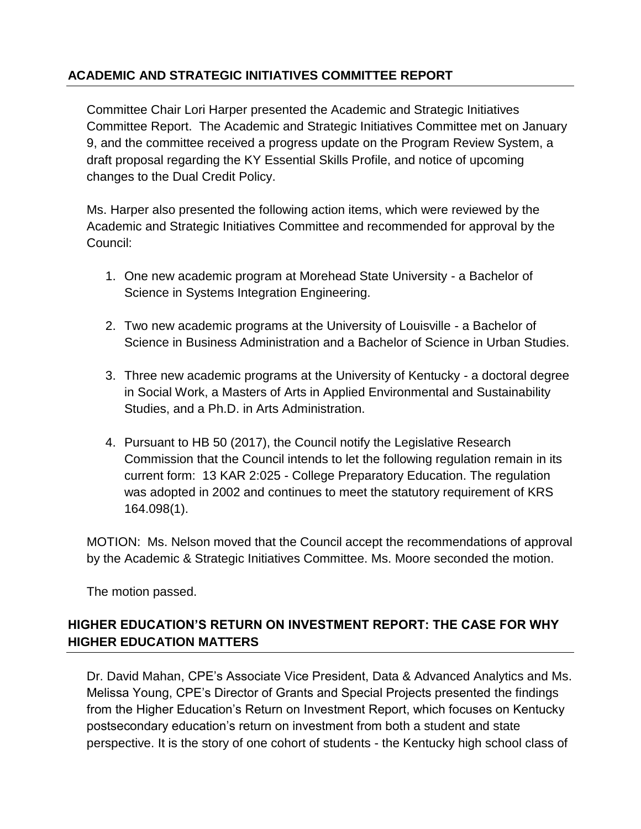# **ACADEMIC AND STRATEGIC INITIATIVES COMMITTEE REPORT**

Committee Chair Lori Harper presented the Academic and Strategic Initiatives Committee Report. The Academic and Strategic Initiatives Committee met on January 9, and the committee received a progress update on the Program Review System, a draft proposal regarding the KY Essential Skills Profile, and notice of upcoming changes to the Dual Credit Policy.

Ms. Harper also presented the following action items, which were reviewed by the Academic and Strategic Initiatives Committee and recommended for approval by the Council:

- 1. One new academic program at Morehead State University a Bachelor of Science in Systems Integration Engineering.
- 2. Two new academic programs at the University of Louisville a Bachelor of Science in Business Administration and a Bachelor of Science in Urban Studies.
- 3. Three new academic programs at the University of Kentucky a doctoral degree in Social Work, a Masters of Arts in Applied Environmental and Sustainability Studies, and a Ph.D. in Arts Administration.
- 4. Pursuant to HB 50 (2017), the Council notify the Legislative Research Commission that the Council intends to let the following regulation remain in its current form: 13 KAR 2:025 - College Preparatory Education. The regulation was adopted in 2002 and continues to meet the statutory requirement of KRS 164.098(1).

MOTION: Ms. Nelson moved that the Council accept the recommendations of approval by the Academic & Strategic Initiatives Committee. Ms. Moore seconded the motion.

The motion passed.

# **HIGHER EDUCATION'S RETURN ON INVESTMENT REPORT: THE CASE FOR WHY HIGHER EDUCATION MATTERS**

Dr. David Mahan, CPE's Associate Vice President, Data & Advanced Analytics and Ms. Melissa Young, CPE's Director of Grants and Special Projects presented the findings from the Higher Education's Return on Investment Report, which focuses on Kentucky postsecondary education's return on investment from both a student and state perspective. It is the story of one cohort of students - the Kentucky high school class of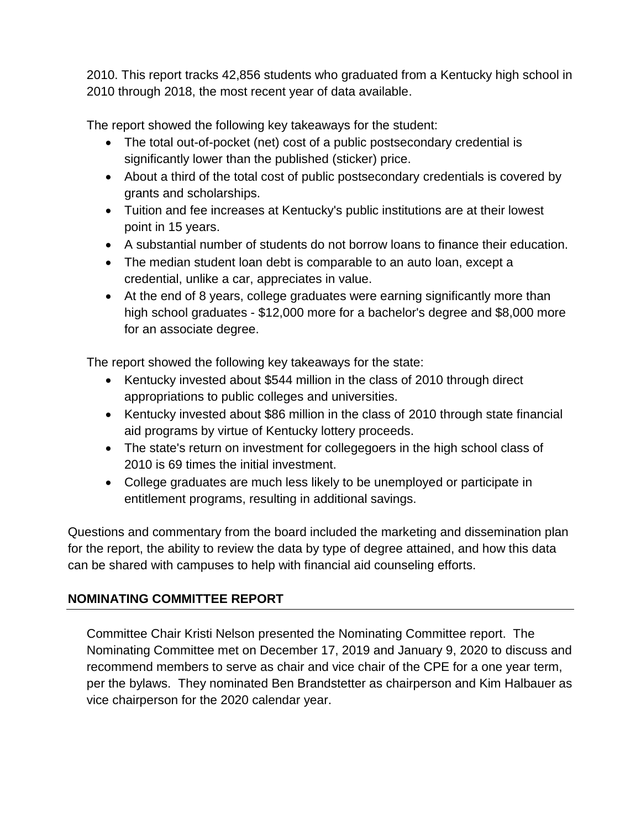2010. This report tracks 42,856 students who graduated from a Kentucky high school in 2010 through 2018, the most recent year of data available.

The report showed the following key takeaways for the student:

- The total out-of-pocket (net) cost of a public postsecondary credential is significantly lower than the published (sticker) price.
- About a third of the total cost of public postsecondary credentials is covered by grants and scholarships.
- Tuition and fee increases at Kentucky's public institutions are at their lowest point in 15 years.
- A substantial number of students do not borrow loans to finance their education.
- The median student loan debt is comparable to an auto loan, except a credential, unlike a car, appreciates in value.
- At the end of 8 years, college graduates were earning significantly more than high school graduates - \$12,000 more for a bachelor's degree and \$8,000 more for an associate degree.

The report showed the following key takeaways for the state:

- Kentucky invested about \$544 million in the class of 2010 through direct appropriations to public colleges and universities.
- Kentucky invested about \$86 million in the class of 2010 through state financial aid programs by virtue of Kentucky lottery proceeds.
- The state's return on investment for collegegoers in the high school class of 2010 is 69 times the initial investment.
- College graduates are much less likely to be unemployed or participate in entitlement programs, resulting in additional savings.

Questions and commentary from the board included the marketing and dissemination plan for the report, the ability to review the data by type of degree attained, and how this data can be shared with campuses to help with financial aid counseling efforts.

# **NOMINATING COMMITTEE REPORT**

Committee Chair Kristi Nelson presented the Nominating Committee report. The Nominating Committee met on December 17, 2019 and January 9, 2020 to discuss and recommend members to serve as chair and vice chair of the CPE for a one year term, per the bylaws. They nominated Ben Brandstetter as chairperson and Kim Halbauer as vice chairperson for the 2020 calendar year.